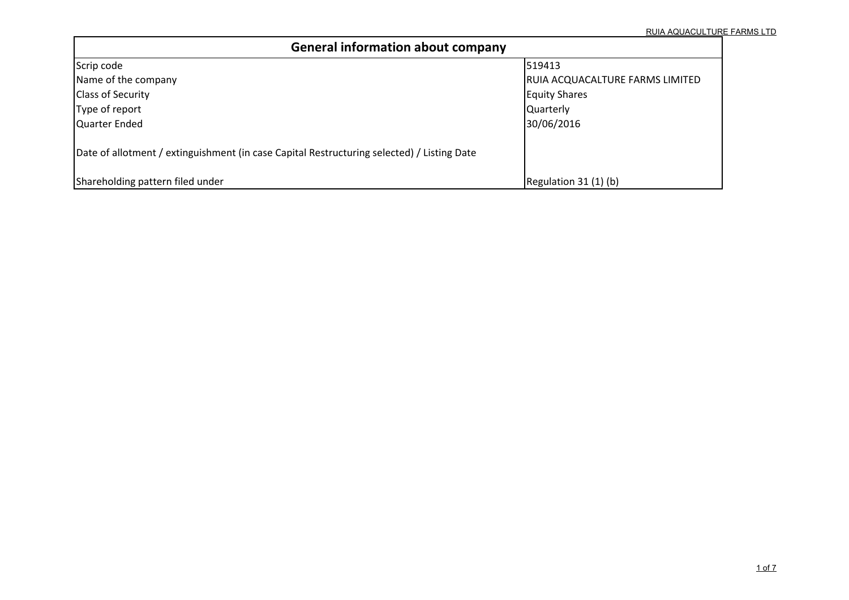| <b>General information about company</b>                                                   |                                 |
|--------------------------------------------------------------------------------------------|---------------------------------|
| Scrip code                                                                                 | 519413                          |
| Name of the company                                                                        | RUIA ACQUACALTURE FARMS LIMITED |
| <b>Class of Security</b>                                                                   | <b>Equity Shares</b>            |
| Type of report                                                                             | Quarterly                       |
| Quarter Ended                                                                              | 30/06/2016                      |
| Date of allotment / extinguishment (in case Capital Restructuring selected) / Listing Date |                                 |
| Shareholding pattern filed under                                                           | Regulation 31 (1) (b)           |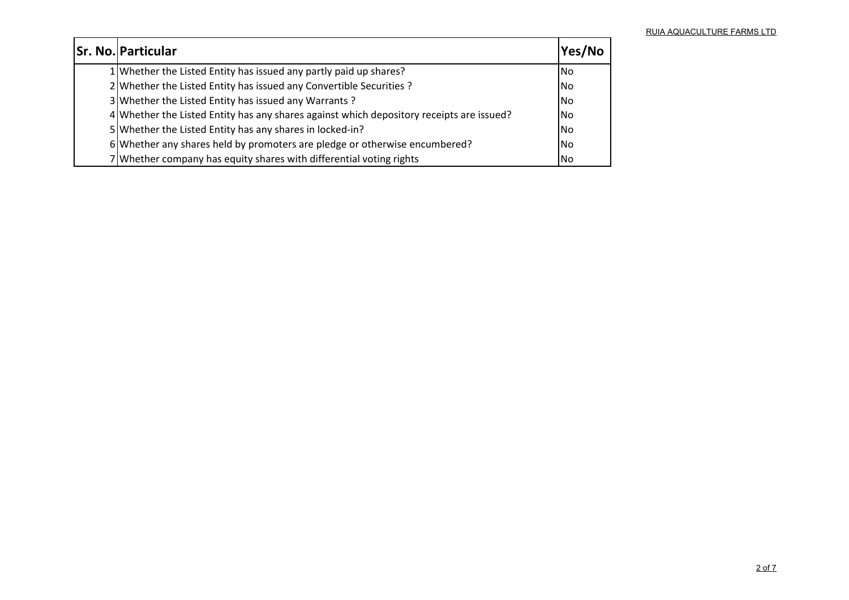| <b>Sr. No. Particular</b>                                                                | Yes/No         |
|------------------------------------------------------------------------------------------|----------------|
| 1 Whether the Listed Entity has issued any partly paid up shares?                        | l No           |
| 2 Whether the Listed Entity has issued any Convertible Securities ?                      | <b>No</b>      |
| 3 Whether the Listed Entity has issued any Warrants?                                     | <b>No</b>      |
| 4 Whether the Listed Entity has any shares against which depository receipts are issued? | <b>No</b>      |
| 5 Whether the Listed Entity has any shares in locked-in?                                 | <b>No</b>      |
| 6 Whether any shares held by promoters are pledge or otherwise encumbered?               | <b>No</b>      |
| 7 Whether company has equity shares with differential voting rights                      | N <sub>o</sub> |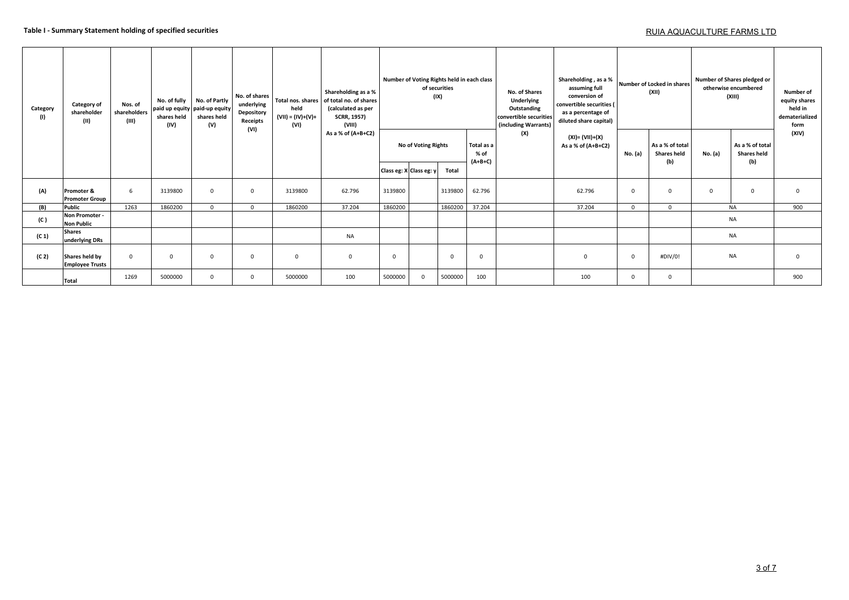### **Table I - Summary Statement holding of specified securities**

## RUIA AQUACULTURE FARMS LTD

| Category<br>(1)   | Category of<br>shareholder<br>(II)       | Nos. of<br>shareholders<br>(III) | No. of fully<br>shares held<br>(IV) | No. of Partly<br>paid up equity paid-up equity<br>shares held<br>(V) | No. of shares<br>underlying<br>Depository<br>Receipts<br>(VI) | held<br>$(VII) = (IV)+(V)+$<br>(VI) | Shareholding as a %<br>Total nos. shares of total no. of shares<br>(calculated as per<br><b>SCRR, 1957)</b><br>(VIII) |          |                                  | Number of Voting Rights held in each class<br>of securities<br>(IX) |                                 | No. of Shares<br>Underlying<br>Outstanding<br>convertible securities<br>(including Warrants) | Shareholding, as a %<br>assuming full<br>conversion of<br>convertible securities (<br>as a percentage of<br>diluted share capital) |                | Number of Locked in shares<br>(XII)          | Number of Shares pledged or<br>otherwise encumbered<br>(XIII) | Number of<br>equity shares<br>held in<br>dematerialized<br>form |          |
|-------------------|------------------------------------------|----------------------------------|-------------------------------------|----------------------------------------------------------------------|---------------------------------------------------------------|-------------------------------------|-----------------------------------------------------------------------------------------------------------------------|----------|----------------------------------|---------------------------------------------------------------------|---------------------------------|----------------------------------------------------------------------------------------------|------------------------------------------------------------------------------------------------------------------------------------|----------------|----------------------------------------------|---------------------------------------------------------------|-----------------------------------------------------------------|----------|
|                   |                                          |                                  |                                     |                                                                      |                                                               |                                     | As a % of (A+B+C2)                                                                                                    |          | <b>No of Voting Rights</b>       |                                                                     | Total as a<br>% of<br>$(A+B+C)$ | (X)                                                                                          | (XI)= (VII)+(X)<br>As a % of $(A+B+C2)$                                                                                            | No. (a)        | As a % of total<br><b>Shares held</b><br>(b) | No. (a)                                                       | As a % of total<br><b>Shares held</b><br>(b)                    | (XIV)    |
|                   |                                          |                                  |                                     |                                                                      |                                                               |                                     |                                                                                                                       |          | Class eg: X Class eg: y<br>Total |                                                                     |                                 |                                                                                              |                                                                                                                                    |                |                                              |                                                               |                                                                 |          |
| (A)               | Promoter &<br><b>Promoter Group</b>      | 6                                | 3139800                             | $\Omega$                                                             | $^{\circ}$                                                    | 3139800                             | 62.796                                                                                                                | 3139800  |                                  | 3139800                                                             | 62.796                          |                                                                                              | 62.796                                                                                                                             | $\overline{0}$ | $\Omega$                                     | $\mathbf 0$                                                   | $\mathbf{0}$                                                    | $\Omega$ |
| (B)               | Public                                   | 1263                             | 1860200                             | $\Omega$                                                             | $\Omega$                                                      | 1860200                             | 37.204                                                                                                                | 1860200  |                                  | 1860200                                                             | 37.204                          |                                                                                              | 37.204                                                                                                                             | $\mathbf{0}$   | $\Omega$                                     |                                                               | <b>NA</b>                                                       | 900      |
| (C )              | Non Promoter -<br><b>Non Public</b>      |                                  |                                     |                                                                      |                                                               |                                     |                                                                                                                       |          |                                  |                                                                     |                                 |                                                                                              |                                                                                                                                    |                |                                              |                                                               | <b>NA</b>                                                       |          |
| (C <sub>1</sub> ) | <b>Shares</b><br>underlying DRs          |                                  |                                     |                                                                      |                                                               |                                     | NA                                                                                                                    |          |                                  |                                                                     |                                 |                                                                                              |                                                                                                                                    |                |                                              |                                                               | <b>NA</b>                                                       |          |
| (C <sub>2</sub> ) | Shares held by<br><b>Employee Trusts</b> | $\mathbf 0$                      | $\Omega$                            | $\Omega$                                                             | $\mathbf{0}$                                                  | $\overline{0}$                      | $\mathbf 0$                                                                                                           | $\Omega$ |                                  | $\mathbf 0$                                                         | $\mathbf{0}$                    |                                                                                              | $\mathbf{0}$                                                                                                                       | $\mathbf{0}$   | #DIV/0!                                      | <b>NA</b>                                                     |                                                                 | $\Omega$ |
|                   | <b>Total</b>                             | 1269                             | 5000000                             | $\Omega$                                                             | $\mathbf{0}$                                                  | 5000000                             | 100                                                                                                                   | 5000000  | $\mathbf{0}$                     | 5000000                                                             | 100                             |                                                                                              | 100                                                                                                                                | $\Omega$       | $\Omega$                                     |                                                               |                                                                 |          |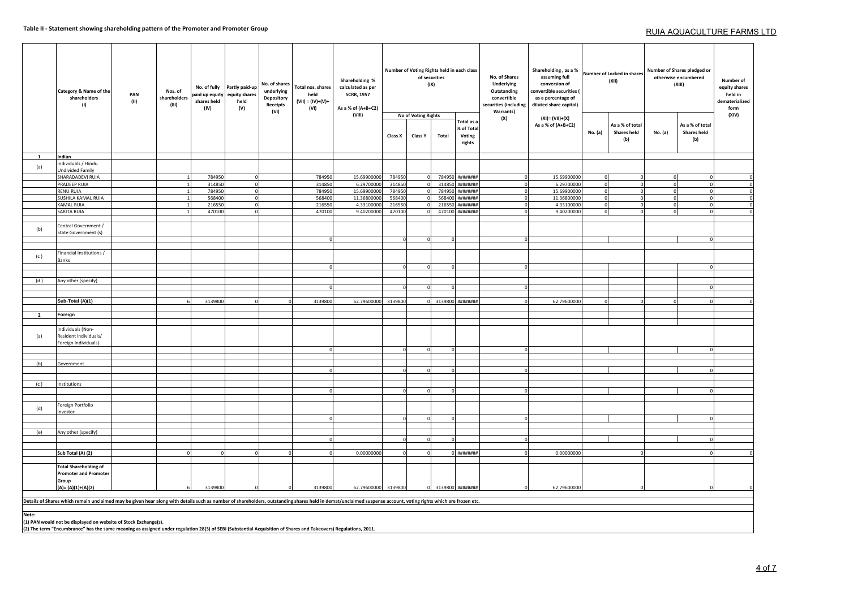|                | Category & Name of the<br>shareholders<br>(1)                                                                                                                                                                  | PAN<br>(II) | Nos. of<br>shareholders<br>(III) | No. of fully<br>paid up equity<br>shares held<br>(IV) | Partly paid-up<br>equity shares<br>held<br>(V) | No. of shares<br>underlying<br>Depository<br>Receipts<br>(VI) | Total nos. shares<br>held<br>$(VII) = (IV)+(V)+$<br>(VI) | Shareholding %<br>calculated as per<br><b>SCRR, 1957</b><br>As a % of (A+B+C2)<br>(VIII) | Class X | No of Voting Rights<br>Class Y | of securities<br>(IX)<br>Total | Number of Voting Rights held in each class<br>Total as a<br>% of Total<br>Voting<br>rights | No. of Shares<br>Underlying<br>Outstanding<br>convertible<br>securities (including<br><b>Warrants)</b><br>(X) | Shareholding, as a %<br>assuming full<br>conversion of<br>convertible securities<br>as a percentage of<br>diluted share capital)<br>(XI)= (VII)+(X)<br>As a % of (A+B+C2) | No. (a)  | Number of Locked in shares<br>(XII)<br>As a % of total<br><b>Shares held</b><br>(b) | No. (a)  | Number of Shares pledged or<br>otherwise encumbered<br>(XIII)<br>As a % of total<br><b>Shares held</b><br>(b) | Number of<br>equity shares<br>held in<br>dematerialized<br>form<br>(XIV) |
|----------------|----------------------------------------------------------------------------------------------------------------------------------------------------------------------------------------------------------------|-------------|----------------------------------|-------------------------------------------------------|------------------------------------------------|---------------------------------------------------------------|----------------------------------------------------------|------------------------------------------------------------------------------------------|---------|--------------------------------|--------------------------------|--------------------------------------------------------------------------------------------|---------------------------------------------------------------------------------------------------------------|---------------------------------------------------------------------------------------------------------------------------------------------------------------------------|----------|-------------------------------------------------------------------------------------|----------|---------------------------------------------------------------------------------------------------------------|--------------------------------------------------------------------------|
|                |                                                                                                                                                                                                                |             |                                  |                                                       |                                                |                                                               |                                                          |                                                                                          |         |                                |                                |                                                                                            |                                                                                                               |                                                                                                                                                                           |          |                                                                                     |          |                                                                                                               |                                                                          |
| $\mathbf{1}$   | Indian                                                                                                                                                                                                         |             |                                  |                                                       |                                                |                                                               |                                                          |                                                                                          |         |                                |                                |                                                                                            |                                                                                                               |                                                                                                                                                                           |          |                                                                                     |          |                                                                                                               |                                                                          |
| (a)            | Individuals / Hindu<br>Undivided Family                                                                                                                                                                        |             |                                  |                                                       |                                                |                                                               |                                                          |                                                                                          |         |                                |                                |                                                                                            |                                                                                                               |                                                                                                                                                                           |          |                                                                                     |          |                                                                                                               |                                                                          |
|                | SHARADADEVI RUIA                                                                                                                                                                                               |             |                                  | 784950                                                |                                                |                                                               | 784950                                                   | 15.69900000                                                                              | 784950  |                                | 784950                         | #######                                                                                    | $\Omega$                                                                                                      | 15.69900000                                                                                                                                                               |          |                                                                                     |          |                                                                                                               | $\Omega$                                                                 |
|                | PRADEEP RUIA                                                                                                                                                                                                   |             |                                  | 314850                                                |                                                |                                                               | 31485                                                    | 6.29700000                                                                               | 314850  |                                | 314850                         | ********                                                                                   |                                                                                                               | 6.2970000                                                                                                                                                                 |          |                                                                                     |          |                                                                                                               | $\mathbf 0$                                                              |
|                | <b>RENU RUIA</b>                                                                                                                                                                                               |             |                                  | 784950                                                |                                                |                                                               | 784950                                                   | 15.69900000                                                                              | 784950  |                                | 78495                          | ********                                                                                   | $\Omega$                                                                                                      | 15.69900000                                                                                                                                                               |          |                                                                                     |          |                                                                                                               | $\mathbf 0$                                                              |
|                | SUSHILA KAMAL RUIA                                                                                                                                                                                             |             |                                  | 568400                                                |                                                |                                                               | 568400                                                   | 11.36800000                                                                              | 568400  |                                | 568400                         | #######                                                                                    | $\Omega$                                                                                                      | 11.36800000                                                                                                                                                               |          |                                                                                     | $\Omega$ |                                                                                                               | $\pmb{0}$                                                                |
|                | KAMAL RUIA                                                                                                                                                                                                     |             |                                  | 216550                                                |                                                |                                                               | 216550                                                   | 4.33100000                                                                               | 216550  | $\Omega$                       | 216550                         | ********                                                                                   | $\Omega$                                                                                                      | 4.33100000                                                                                                                                                                |          |                                                                                     | $\Omega$ | $\Omega$                                                                                                      | $\mathbf 0$                                                              |
|                | <b>SARITA RUIA</b>                                                                                                                                                                                             |             |                                  | 470100                                                |                                                |                                                               | 470100                                                   | 9.40200000                                                                               | 470100  | $\Omega$                       | 470100                         | *********                                                                                  | $\Omega$                                                                                                      | 9.40200000                                                                                                                                                                | $\Omega$ |                                                                                     | $\Omega$ | $\Omega$                                                                                                      | $\mathbf{0}$                                                             |
| (b)            | Central Government /<br>State Government (s)                                                                                                                                                                   |             |                                  |                                                       |                                                |                                                               |                                                          |                                                                                          |         |                                |                                |                                                                                            |                                                                                                               |                                                                                                                                                                           |          |                                                                                     |          |                                                                                                               |                                                                          |
|                |                                                                                                                                                                                                                |             |                                  |                                                       |                                                |                                                               | $\Omega$                                                 |                                                                                          |         |                                |                                |                                                                                            | $\Omega$                                                                                                      |                                                                                                                                                                           |          |                                                                                     |          |                                                                                                               |                                                                          |
|                |                                                                                                                                                                                                                |             |                                  |                                                       |                                                |                                                               |                                                          |                                                                                          |         |                                |                                |                                                                                            |                                                                                                               |                                                                                                                                                                           |          |                                                                                     |          |                                                                                                               |                                                                          |
| (c)            | Financial Institutions /<br>Banks                                                                                                                                                                              |             |                                  |                                                       |                                                |                                                               |                                                          |                                                                                          |         |                                |                                |                                                                                            |                                                                                                               |                                                                                                                                                                           |          |                                                                                     |          |                                                                                                               |                                                                          |
|                |                                                                                                                                                                                                                |             |                                  |                                                       |                                                |                                                               |                                                          |                                                                                          |         |                                |                                |                                                                                            |                                                                                                               |                                                                                                                                                                           |          |                                                                                     |          |                                                                                                               |                                                                          |
| (d)            | Any other (specify)                                                                                                                                                                                            |             |                                  |                                                       |                                                |                                                               |                                                          |                                                                                          |         |                                |                                |                                                                                            |                                                                                                               |                                                                                                                                                                           |          |                                                                                     |          |                                                                                                               |                                                                          |
|                |                                                                                                                                                                                                                |             |                                  |                                                       |                                                |                                                               |                                                          |                                                                                          |         |                                |                                |                                                                                            |                                                                                                               |                                                                                                                                                                           |          |                                                                                     |          |                                                                                                               |                                                                          |
|                |                                                                                                                                                                                                                |             |                                  |                                                       |                                                |                                                               |                                                          |                                                                                          |         |                                |                                |                                                                                            |                                                                                                               |                                                                                                                                                                           |          |                                                                                     |          |                                                                                                               |                                                                          |
|                | Sub-Total (A)(1)                                                                                                                                                                                               |             |                                  | 3139800                                               |                                                |                                                               | 3139800                                                  | 62.79600000 3139800                                                                      |         |                                |                                | 3139800 ########                                                                           |                                                                                                               | 62.79600000                                                                                                                                                               |          |                                                                                     |          |                                                                                                               |                                                                          |
| $\overline{2}$ | Foreign                                                                                                                                                                                                        |             |                                  |                                                       |                                                |                                                               |                                                          |                                                                                          |         |                                |                                |                                                                                            |                                                                                                               |                                                                                                                                                                           |          |                                                                                     |          |                                                                                                               |                                                                          |
|                |                                                                                                                                                                                                                |             |                                  |                                                       |                                                |                                                               |                                                          |                                                                                          |         |                                |                                |                                                                                            |                                                                                                               |                                                                                                                                                                           |          |                                                                                     |          |                                                                                                               |                                                                          |
| (a)            | Individuals (Non-<br>Resident Individuals/<br>Foreign Individuals)                                                                                                                                             |             |                                  |                                                       |                                                |                                                               |                                                          |                                                                                          |         |                                |                                |                                                                                            |                                                                                                               |                                                                                                                                                                           |          |                                                                                     |          |                                                                                                               |                                                                          |
|                |                                                                                                                                                                                                                |             |                                  |                                                       |                                                |                                                               |                                                          |                                                                                          |         |                                |                                |                                                                                            | $\circ$                                                                                                       |                                                                                                                                                                           |          |                                                                                     |          |                                                                                                               |                                                                          |
| (b)            | Government                                                                                                                                                                                                     |             |                                  |                                                       |                                                |                                                               |                                                          |                                                                                          |         |                                |                                |                                                                                            |                                                                                                               |                                                                                                                                                                           |          |                                                                                     |          |                                                                                                               |                                                                          |
|                |                                                                                                                                                                                                                |             |                                  |                                                       |                                                |                                                               |                                                          |                                                                                          |         |                                |                                |                                                                                            |                                                                                                               |                                                                                                                                                                           |          |                                                                                     |          |                                                                                                               |                                                                          |
|                |                                                                                                                                                                                                                |             |                                  |                                                       |                                                |                                                               |                                                          |                                                                                          |         |                                |                                |                                                                                            |                                                                                                               |                                                                                                                                                                           |          |                                                                                     |          |                                                                                                               |                                                                          |
| (c)            | Institutions                                                                                                                                                                                                   |             |                                  |                                                       |                                                |                                                               |                                                          |                                                                                          |         |                                |                                |                                                                                            |                                                                                                               |                                                                                                                                                                           |          |                                                                                     |          |                                                                                                               |                                                                          |
|                |                                                                                                                                                                                                                |             |                                  |                                                       |                                                |                                                               |                                                          |                                                                                          |         |                                |                                |                                                                                            | $\Omega$                                                                                                      |                                                                                                                                                                           |          |                                                                                     |          |                                                                                                               |                                                                          |
| (d)            | Foreign Portfolio<br>nvestor                                                                                                                                                                                   |             |                                  |                                                       |                                                |                                                               |                                                          |                                                                                          |         |                                |                                |                                                                                            |                                                                                                               |                                                                                                                                                                           |          |                                                                                     |          |                                                                                                               |                                                                          |
|                |                                                                                                                                                                                                                |             |                                  |                                                       |                                                |                                                               |                                                          |                                                                                          |         |                                |                                |                                                                                            |                                                                                                               |                                                                                                                                                                           |          |                                                                                     |          |                                                                                                               |                                                                          |
|                |                                                                                                                                                                                                                |             |                                  |                                                       |                                                |                                                               |                                                          |                                                                                          |         |                                |                                |                                                                                            |                                                                                                               |                                                                                                                                                                           |          |                                                                                     |          |                                                                                                               |                                                                          |
| (e)            | Any other (specify)                                                                                                                                                                                            |             |                                  |                                                       |                                                |                                                               |                                                          |                                                                                          |         |                                |                                |                                                                                            |                                                                                                               |                                                                                                                                                                           |          |                                                                                     |          |                                                                                                               |                                                                          |
|                |                                                                                                                                                                                                                |             |                                  |                                                       |                                                |                                                               |                                                          |                                                                                          |         |                                |                                |                                                                                            | $\Omega$                                                                                                      |                                                                                                                                                                           |          |                                                                                     |          |                                                                                                               |                                                                          |
|                | Sub Total (A) (2)                                                                                                                                                                                              |             |                                  |                                                       |                                                |                                                               |                                                          | 0.00000000                                                                               |         |                                |                                | $0$ ########                                                                               |                                                                                                               | 0.00000000                                                                                                                                                                |          |                                                                                     |          |                                                                                                               |                                                                          |
|                |                                                                                                                                                                                                                |             |                                  |                                                       |                                                |                                                               |                                                          |                                                                                          |         |                                |                                |                                                                                            |                                                                                                               |                                                                                                                                                                           |          |                                                                                     |          |                                                                                                               |                                                                          |
|                | <b>Total Shareholding of</b><br><b>Promoter and Promoter</b><br>Group<br>$(A)=(A)(1)+(A)(2)$                                                                                                                   |             |                                  | 3139800                                               |                                                |                                                               | 3139800                                                  | 62.79600000                                                                              | 3139800 |                                |                                | 3139800 ########                                                                           |                                                                                                               | 62.79600000                                                                                                                                                               |          |                                                                                     |          |                                                                                                               |                                                                          |
|                |                                                                                                                                                                                                                |             |                                  |                                                       |                                                |                                                               |                                                          |                                                                                          |         |                                |                                |                                                                                            |                                                                                                               |                                                                                                                                                                           |          |                                                                                     |          |                                                                                                               |                                                                          |
|                | Details of Shares which remain unclaimed may be given hear along with details such as number of shareholders, outstanding shares held in demat/unclaimed suspense account, voting rights which are frozen etc. |             |                                  |                                                       |                                                |                                                               |                                                          |                                                                                          |         |                                |                                |                                                                                            |                                                                                                               |                                                                                                                                                                           |          |                                                                                     |          |                                                                                                               |                                                                          |
| Note:          | (1) PAN would not be displayed on website of Stock Exchange(s).                                                                                                                                                |             |                                  |                                                       |                                                |                                                               |                                                          |                                                                                          |         |                                |                                |                                                                                            |                                                                                                               |                                                                                                                                                                           |          |                                                                                     |          |                                                                                                               |                                                                          |

(1) PAN would not be displayed on website of Stock Exchange(s).<br>(2) The term "Encumbrance" has the same meaning as assigned under regulation 28(3) of SEBI (Substantial Acquisition of Shares and Takeovers) Regulations, 2011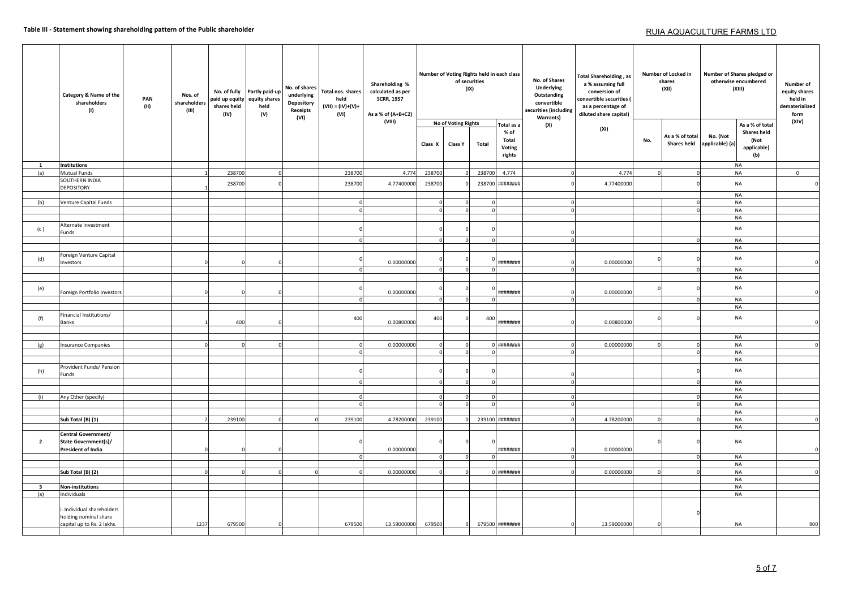### **Table III - Statement showing shareholding pattern of the Public shareholder**

# RUIA AQUACULTURE FARMS LTD

|  |                         | Category & Name of the<br>shareholders<br>(1)      | PAN<br>(II) | Nos. of<br>shareholders<br>(III) | No. of fully<br>paid up equity<br>shares held<br>(IV) | Partly paid-up<br>equity shares<br>held<br>(V) | No. of shares<br>underlying<br>Depository<br>Receipts<br>(VI) | Total nos. shares<br>held<br>$(VII) = (IV)+(V)+$<br>(VI) | Shareholding %<br>calculated as per<br><b>SCRR, 1957</b><br>As a % of (A+B+C2) |          | Number of Voting Rights held in each class<br>of securities | (IX)   |                                                         | No. of Shares<br>Underlying<br>Outstanding<br>convertible<br>securities (including<br><b>Warrants)</b> | <b>Total Shareholding, as</b><br>a % assuming full<br>conversion of<br>convertible securities (<br>as a percentage of<br>diluted share capital) |          | Number of Locked in<br>shares<br>(XII) |                             | Number of Shares pledged or<br>otherwise encumbered<br>(XIII)       | Number of<br>equity shares<br>held in<br>dematerialized<br>form |
|--|-------------------------|----------------------------------------------------|-------------|----------------------------------|-------------------------------------------------------|------------------------------------------------|---------------------------------------------------------------|----------------------------------------------------------|--------------------------------------------------------------------------------|----------|-------------------------------------------------------------|--------|---------------------------------------------------------|--------------------------------------------------------------------------------------------------------|-------------------------------------------------------------------------------------------------------------------------------------------------|----------|----------------------------------------|-----------------------------|---------------------------------------------------------------------|-----------------------------------------------------------------|
|  |                         |                                                    |             |                                  |                                                       |                                                |                                                               |                                                          | (VIII)                                                                         | Class X  | No of Voting Rights<br>Class Y                              | Total  | Total as a<br>$%$ of<br>Total<br>Voting<br>rights       | (X)                                                                                                    | (XI)                                                                                                                                            | No.      | As a % of total<br><b>Shares held</b>  | No. (Not<br>applicable) (a) | As a % of total<br><b>Shares held</b><br>(Not<br>applicable)<br>(b) | (XIV)                                                           |
|  | 1                       | <b>Institutions</b>                                |             |                                  |                                                       |                                                |                                                               |                                                          |                                                                                |          |                                                             |        |                                                         |                                                                                                        |                                                                                                                                                 |          |                                        |                             | <b>NA</b>                                                           |                                                                 |
|  | (a)                     | <b>Mutual Funds</b>                                |             |                                  | 238700                                                | $\Omega$                                       |                                                               | 238700                                                   | 4.774                                                                          | 238700   |                                                             | 238700 | 4.774                                                   |                                                                                                        | 4.774                                                                                                                                           |          |                                        |                             | <b>NA</b>                                                           | $\mathbf{0}$                                                    |
|  |                         | SOUTHERN INDIA<br><b>DEPOSITORY</b>                |             |                                  | 238700                                                |                                                |                                                               | 238700                                                   | 4.77400000                                                                     | 238700   |                                                             | 238700 | ########                                                |                                                                                                        | 4.77400000                                                                                                                                      |          |                                        |                             | <b>NA</b>                                                           | $\mathcal{C}$                                                   |
|  |                         |                                                    |             |                                  |                                                       |                                                |                                                               |                                                          |                                                                                |          |                                                             |        |                                                         |                                                                                                        |                                                                                                                                                 |          |                                        |                             | <b>NA</b>                                                           |                                                                 |
|  | (b)                     | Venture Capital Funds                              |             |                                  |                                                       |                                                |                                                               | $\Omega$                                                 |                                                                                | $\Omega$ |                                                             |        |                                                         | $\Omega$                                                                                               |                                                                                                                                                 |          |                                        |                             | <b>NA</b>                                                           |                                                                 |
|  |                         |                                                    |             |                                  |                                                       |                                                |                                                               |                                                          |                                                                                |          |                                                             |        |                                                         | $\Omega$                                                                                               |                                                                                                                                                 |          |                                        |                             | <b>NA</b>                                                           |                                                                 |
|  |                         |                                                    |             |                                  |                                                       |                                                |                                                               |                                                          |                                                                                |          |                                                             |        |                                                         |                                                                                                        |                                                                                                                                                 |          |                                        |                             | <b>NA</b>                                                           |                                                                 |
|  | (c)                     | Alternate Investment<br>Funds                      |             |                                  |                                                       |                                                |                                                               |                                                          |                                                                                |          |                                                             |        |                                                         | $\Omega$                                                                                               |                                                                                                                                                 |          |                                        |                             | <b>NA</b>                                                           |                                                                 |
|  |                         |                                                    |             |                                  |                                                       |                                                |                                                               |                                                          |                                                                                | $\Omega$ |                                                             |        |                                                         | $\Omega$                                                                                               |                                                                                                                                                 |          |                                        |                             | <b>NA</b>                                                           |                                                                 |
|  |                         |                                                    |             |                                  |                                                       |                                                |                                                               |                                                          |                                                                                |          |                                                             |        |                                                         |                                                                                                        |                                                                                                                                                 |          |                                        |                             | <b>NA</b>                                                           |                                                                 |
|  | (d)                     | Foreign Venture Capital                            |             |                                  |                                                       |                                                |                                                               |                                                          |                                                                                |          |                                                             |        |                                                         |                                                                                                        |                                                                                                                                                 |          |                                        |                             | <b>NA</b>                                                           |                                                                 |
|  |                         | Investors                                          |             |                                  |                                                       |                                                |                                                               |                                                          | 0.00000000                                                                     |          |                                                             |        | *********                                               |                                                                                                        | 0.00000000                                                                                                                                      |          |                                        |                             |                                                                     |                                                                 |
|  |                         |                                                    |             |                                  |                                                       |                                                |                                                               |                                                          |                                                                                | $\Omega$ |                                                             |        |                                                         | $\Omega$                                                                                               |                                                                                                                                                 |          |                                        |                             | <b>NA</b>                                                           |                                                                 |
|  |                         |                                                    |             |                                  |                                                       |                                                |                                                               |                                                          |                                                                                |          |                                                             |        |                                                         |                                                                                                        |                                                                                                                                                 |          |                                        |                             | <b>NA</b>                                                           |                                                                 |
|  | (e)                     |                                                    |             |                                  |                                                       |                                                |                                                               |                                                          |                                                                                |          |                                                             |        |                                                         |                                                                                                        |                                                                                                                                                 |          |                                        |                             | <b>NA</b>                                                           |                                                                 |
|  |                         | Foreign Portfolio Investors                        |             |                                  |                                                       |                                                |                                                               |                                                          | 0.00000000                                                                     |          |                                                             |        | ########                                                |                                                                                                        | 0.00000000                                                                                                                                      |          |                                        |                             |                                                                     |                                                                 |
|  |                         |                                                    |             |                                  |                                                       |                                                |                                                               |                                                          |                                                                                | $\Omega$ |                                                             |        |                                                         | $\Omega$                                                                                               |                                                                                                                                                 |          |                                        |                             | <b>NA</b>                                                           |                                                                 |
|  |                         |                                                    |             |                                  |                                                       |                                                |                                                               |                                                          |                                                                                |          |                                                             |        |                                                         |                                                                                                        |                                                                                                                                                 |          |                                        |                             | <b>NA</b>                                                           |                                                                 |
|  | (f)                     | Financial Institutions/                            |             |                                  |                                                       |                                                |                                                               | 400                                                      |                                                                                | 400      |                                                             | 400    |                                                         |                                                                                                        |                                                                                                                                                 |          |                                        |                             | NA                                                                  |                                                                 |
|  |                         | Banks                                              |             |                                  | 400                                                   |                                                |                                                               |                                                          | 0.00800000                                                                     |          |                                                             |        | ********                                                |                                                                                                        | 0.00800000                                                                                                                                      |          |                                        |                             |                                                                     |                                                                 |
|  |                         |                                                    |             |                                  |                                                       |                                                |                                                               |                                                          |                                                                                |          |                                                             |        |                                                         |                                                                                                        |                                                                                                                                                 |          |                                        |                             |                                                                     |                                                                 |
|  |                         |                                                    |             |                                  |                                                       |                                                |                                                               |                                                          |                                                                                |          |                                                             |        |                                                         |                                                                                                        |                                                                                                                                                 |          |                                        |                             | <b>NA</b>                                                           |                                                                 |
|  | (g)                     | <b>Insurance Companies</b>                         |             |                                  |                                                       | $\Omega$                                       |                                                               |                                                          | 0.00000000                                                                     | $\Omega$ |                                                             |        | $0$ $\mu$ <i><b>H</b></i> $\mu$ $\mu$ $\mu$ $\mu$ $\mu$ | $\Omega$                                                                                               | 0.00000000                                                                                                                                      | $\Omega$ |                                        |                             | <b>NA</b>                                                           |                                                                 |
|  |                         |                                                    |             |                                  |                                                       |                                                |                                                               |                                                          |                                                                                |          |                                                             |        |                                                         | $\Omega$                                                                                               |                                                                                                                                                 |          |                                        |                             | <b>NA</b>                                                           |                                                                 |
|  |                         |                                                    |             |                                  |                                                       |                                                |                                                               |                                                          |                                                                                |          |                                                             |        |                                                         |                                                                                                        |                                                                                                                                                 |          |                                        |                             | <b>NA</b>                                                           |                                                                 |
|  | (h)                     | Provident Funds/ Pension<br>Funds                  |             |                                  |                                                       |                                                |                                                               |                                                          |                                                                                |          |                                                             |        |                                                         |                                                                                                        |                                                                                                                                                 |          |                                        |                             | <b>NA</b>                                                           |                                                                 |
|  |                         |                                                    |             |                                  |                                                       |                                                |                                                               |                                                          |                                                                                | $\Omega$ |                                                             |        |                                                         | $\Omega$                                                                                               |                                                                                                                                                 |          |                                        |                             | <b>NA</b>                                                           |                                                                 |
|  |                         |                                                    |             |                                  |                                                       |                                                |                                                               |                                                          |                                                                                |          |                                                             |        |                                                         |                                                                                                        |                                                                                                                                                 |          |                                        |                             | <b>NA</b>                                                           |                                                                 |
|  | (i)                     | Any Other (specify)                                |             |                                  |                                                       |                                                |                                                               |                                                          |                                                                                |          |                                                             |        |                                                         | $\Omega$                                                                                               |                                                                                                                                                 |          |                                        |                             | <b>NA</b>                                                           |                                                                 |
|  |                         |                                                    |             |                                  |                                                       |                                                |                                                               |                                                          |                                                                                |          |                                                             |        |                                                         | $\Omega$                                                                                               |                                                                                                                                                 |          |                                        |                             | <b>NA</b>                                                           |                                                                 |
|  |                         |                                                    |             |                                  |                                                       |                                                |                                                               |                                                          |                                                                                |          |                                                             |        |                                                         |                                                                                                        |                                                                                                                                                 |          |                                        |                             | <b>NA</b>                                                           |                                                                 |
|  |                         | Sub Total (B) (1)                                  |             |                                  | 239100                                                |                                                |                                                               | 239100                                                   | 4.78200000                                                                     | 239100   |                                                             |        | 239100 ########                                         | $\Omega$                                                                                               | 4.78200000                                                                                                                                      | 0        |                                        |                             | <b>NA</b>                                                           |                                                                 |
|  |                         |                                                    |             |                                  |                                                       |                                                |                                                               |                                                          |                                                                                |          |                                                             |        |                                                         |                                                                                                        |                                                                                                                                                 |          |                                        |                             | <b>NA</b>                                                           |                                                                 |
|  |                         | Central Government/                                |             |                                  |                                                       |                                                |                                                               |                                                          |                                                                                |          |                                                             |        |                                                         |                                                                                                        |                                                                                                                                                 |          |                                        |                             |                                                                     |                                                                 |
|  | $\overline{2}$          | <b>State Government(s)/</b>                        |             |                                  |                                                       |                                                |                                                               |                                                          |                                                                                |          |                                                             |        |                                                         |                                                                                                        |                                                                                                                                                 |          |                                        |                             | NA                                                                  |                                                                 |
|  |                         | President of India                                 |             |                                  |                                                       |                                                |                                                               |                                                          | 0.00000000                                                                     |          |                                                             |        | *********                                               |                                                                                                        | 0.00000000                                                                                                                                      |          |                                        |                             |                                                                     |                                                                 |
|  |                         |                                                    |             |                                  |                                                       |                                                |                                                               |                                                          |                                                                                | $\Omega$ |                                                             |        |                                                         | $\Omega$                                                                                               |                                                                                                                                                 |          |                                        |                             | <b>NA</b>                                                           |                                                                 |
|  |                         |                                                    |             |                                  |                                                       |                                                |                                                               |                                                          |                                                                                |          |                                                             |        |                                                         |                                                                                                        |                                                                                                                                                 |          |                                        |                             | <b>NA</b>                                                           |                                                                 |
|  |                         | Sub Total (B) (2)                                  |             |                                  |                                                       | $\Omega$                                       |                                                               |                                                          | 0.00000000                                                                     | $\Omega$ |                                                             |        | 0 ########                                              | $\Omega$                                                                                               | 0.00000000                                                                                                                                      | $\Omega$ |                                        |                             | <b>NA</b>                                                           |                                                                 |
|  |                         |                                                    |             |                                  |                                                       |                                                |                                                               |                                                          |                                                                                |          |                                                             |        |                                                         |                                                                                                        |                                                                                                                                                 |          |                                        |                             | <b>NA</b>                                                           |                                                                 |
|  | $\overline{\mathbf{3}}$ | <b>Non-institutions</b>                            |             |                                  |                                                       |                                                |                                                               |                                                          |                                                                                |          |                                                             |        |                                                         |                                                                                                        |                                                                                                                                                 |          |                                        |                             | <b>NA</b>                                                           |                                                                 |
|  | (a)                     | Individuals                                        |             |                                  |                                                       |                                                |                                                               |                                                          |                                                                                |          |                                                             |        |                                                         |                                                                                                        |                                                                                                                                                 |          |                                        |                             | <b>NA</b>                                                           |                                                                 |
|  |                         |                                                    |             |                                  |                                                       |                                                |                                                               |                                                          |                                                                                |          |                                                             |        |                                                         |                                                                                                        |                                                                                                                                                 |          |                                        |                             |                                                                     |                                                                 |
|  |                         | . Individual shareholders<br>holding nominal share |             |                                  |                                                       |                                                |                                                               |                                                          |                                                                                |          |                                                             |        |                                                         |                                                                                                        |                                                                                                                                                 |          |                                        |                             |                                                                     |                                                                 |
|  |                         | capital up to Rs. 2 lakhs.                         |             | 1237                             | 679500                                                |                                                |                                                               | 679500                                                   | 13.59000000                                                                    | 679500   |                                                             |        | 679500 ########                                         | $\Omega$                                                                                               | 13.59000000                                                                                                                                     |          |                                        |                             | <b>NA</b>                                                           | 900                                                             |
|  |                         |                                                    |             |                                  |                                                       |                                                |                                                               |                                                          |                                                                                |          |                                                             |        |                                                         |                                                                                                        |                                                                                                                                                 |          |                                        |                             |                                                                     |                                                                 |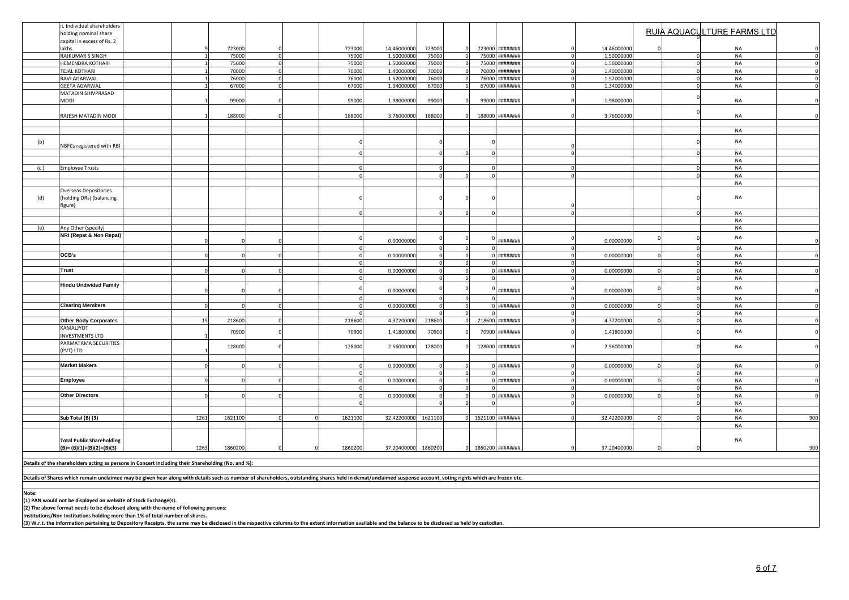|       | . Individual shareholders                                                                                                                                                                                      |      |         |          |          |                     |             |              |                   |          |                              |  |                            |     |
|-------|----------------------------------------------------------------------------------------------------------------------------------------------------------------------------------------------------------------|------|---------|----------|----------|---------------------|-------------|--------------|-------------------|----------|------------------------------|--|----------------------------|-----|
|       | holding nominal share                                                                                                                                                                                          |      |         |          |          |                     |             |              |                   |          |                              |  | RUIA AQUACULTURE FARMS LTD |     |
|       | capital in excess of Rs. 2                                                                                                                                                                                     |      |         |          |          |                     |             |              |                   |          |                              |  |                            |     |
|       | akhs.                                                                                                                                                                                                          |      | 723000  |          | 723000   | 14.46000000         | 723000      | 723000       | ********          |          | 14.46000000                  |  | <b>NA</b>                  |     |
|       | RAJKUMAR S SINGH                                                                                                                                                                                               |      | 75000   |          | 75000    | 1.50000000          | 75000       | 75000        | ********          |          | 1.50000000                   |  | NA                         |     |
|       | HEMENDRA KOTHARI                                                                                                                                                                                               |      | 75000   | $\Omega$ | 75000    | 1.50000000          | 75000       | 75000        |                   | ******** | 1.50000000<br>$\Omega$       |  | NA                         |     |
|       | <b>TEJAL KOTHARI</b>                                                                                                                                                                                           |      | 70000   | $\Omega$ | 70000    | 1.40000000          | 70000       | 70000        | ********          |          | 1.40000000<br>$\Omega$       |  | <b>NA</b>                  |     |
|       | RAVI AGARWAL                                                                                                                                                                                                   |      | 76000   | $\Omega$ | 76000    | 1.52000000          | 76000       | 76000        | ********          |          | 1.52000000                   |  | NA                         |     |
|       | <b>GEETA AGARWAL</b>                                                                                                                                                                                           |      | 67000   | $\Omega$ | 67000    | 1.34000000          | 67000       | $\Omega$     | 67000             | ******** | 1.34000000                   |  | <b>NA</b>                  |     |
|       | MATADIN SHIVPRASAD                                                                                                                                                                                             |      |         |          |          |                     |             |              |                   |          |                              |  |                            |     |
|       | NODI                                                                                                                                                                                                           |      | 99000   |          | 99000    | 1.98000000          | 99000       |              | ********<br>99000 |          | 1.9800000                    |  | NA                         |     |
|       |                                                                                                                                                                                                                |      |         |          |          |                     |             |              |                   |          |                              |  |                            |     |
|       | RAJESH MATADIN MODI                                                                                                                                                                                            |      | 188000  |          | 188000   | 3.76000000          | 188000      |              | 188000 ########   |          | 3.76000000                   |  | <b>NA</b>                  |     |
|       |                                                                                                                                                                                                                |      |         |          |          |                     |             |              |                   |          |                              |  |                            |     |
|       |                                                                                                                                                                                                                |      |         |          |          |                     |             |              |                   |          |                              |  | <b>NA</b>                  |     |
|       |                                                                                                                                                                                                                |      |         |          |          |                     |             |              |                   |          |                              |  |                            |     |
| (b)   | NBFCs registered with RBI                                                                                                                                                                                      |      |         |          |          |                     |             |              |                   |          |                              |  | $\sf NA$                   |     |
|       |                                                                                                                                                                                                                |      |         |          |          |                     |             |              |                   |          |                              |  | <b>NA</b>                  |     |
|       |                                                                                                                                                                                                                |      |         |          |          |                     |             |              |                   |          |                              |  | <b>NA</b>                  |     |
| (c)   | Employee Trusts                                                                                                                                                                                                |      |         |          |          |                     |             |              |                   |          |                              |  | <b>NA</b>                  |     |
|       |                                                                                                                                                                                                                |      |         |          |          |                     |             |              |                   |          | $\Omega$                     |  | <b>NA</b>                  |     |
|       |                                                                                                                                                                                                                |      |         |          |          |                     |             |              |                   |          |                              |  | NA                         |     |
|       | Overseas Depositories                                                                                                                                                                                          |      |         |          |          |                     |             |              |                   |          |                              |  |                            |     |
| (d)   | (holding DRs) (balancing                                                                                                                                                                                       |      |         |          |          |                     |             |              |                   |          |                              |  | NA                         |     |
|       | figure)                                                                                                                                                                                                        |      |         |          |          |                     |             |              |                   |          |                              |  |                            |     |
|       |                                                                                                                                                                                                                |      |         |          |          |                     |             |              |                   |          | $\Omega$                     |  | NA                         |     |
|       |                                                                                                                                                                                                                |      |         |          |          |                     |             |              |                   |          |                              |  | NA                         |     |
|       |                                                                                                                                                                                                                |      |         |          |          |                     |             |              |                   |          |                              |  | <b>NA</b>                  |     |
| (e)   | Any Other (specify)<br>NRI (Repat & Non Repat)                                                                                                                                                                 |      |         |          |          |                     |             |              |                   |          |                              |  |                            |     |
|       |                                                                                                                                                                                                                |      |         |          |          | 0.00000000          |             |              | ********          |          | 0<br>0.00000000              |  | <b>NA</b>                  |     |
|       |                                                                                                                                                                                                                |      |         |          |          |                     |             |              |                   |          |                              |  | <b>NA</b>                  |     |
|       | OCB's                                                                                                                                                                                                          |      |         |          |          | 0.00000000          | $\Omega$    |              | ########          |          | 0.00000000<br>$\Omega$       |  | NA                         |     |
|       |                                                                                                                                                                                                                |      |         |          |          |                     |             |              |                   |          | $\Omega$                     |  | <b>NA</b>                  |     |
|       | Trust                                                                                                                                                                                                          |      |         |          |          | 0.00000000          |             |              |                   | ******** | 0.00000000<br>$\mathbf{0}$   |  | <b>NA</b>                  |     |
|       |                                                                                                                                                                                                                |      |         |          |          |                     |             |              |                   |          |                              |  | <b>NA</b>                  |     |
|       | <b>Hindu Undivided Family</b>                                                                                                                                                                                  |      |         |          |          |                     |             |              |                   |          |                              |  |                            |     |
|       |                                                                                                                                                                                                                |      |         |          |          | 0.00000000          |             |              | ********          |          | 0.00000000                   |  | NA                         |     |
|       |                                                                                                                                                                                                                |      |         |          |          |                     | $\Omega$    |              |                   |          | $\mathbf{0}$                 |  | <b>NA</b>                  |     |
|       | <b>Clearing Members</b>                                                                                                                                                                                        |      |         |          |          | 0.00000000          | $\mathbf 0$ |              | ********          |          | 0.00000000<br>$\Omega$       |  | <b>NA</b>                  |     |
|       |                                                                                                                                                                                                                |      |         |          |          |                     |             |              |                   |          |                              |  | NA                         |     |
|       | <b>Other Body Corporates</b>                                                                                                                                                                                   | 15   | 218600  |          | 218600   | 4.37200000          | 218600      | 218600       |                   | ******** | 4.37200000                   |  | NA                         |     |
|       | KAMALJYOT                                                                                                                                                                                                      |      |         |          |          |                     |             |              |                   |          |                              |  | NA                         |     |
|       | <b>INVESTMENTS LTD</b>                                                                                                                                                                                         |      | 70900   |          | 70900    | 1.41800000          | 70900       | 70900        | ********          |          | 1.41800000                   |  |                            |     |
|       | PARMATAMA SECURITIES                                                                                                                                                                                           |      |         |          |          |                     |             |              |                   |          |                              |  | NA                         |     |
|       | (PVT) LTD                                                                                                                                                                                                      |      | 128000  |          | 128000   | 2.56000000          | 128000      |              | 128000            | ******** | 2.56000000<br>$\mathbf{0}$   |  |                            |     |
|       |                                                                                                                                                                                                                |      |         |          |          |                     |             |              |                   |          |                              |  |                            |     |
|       | <b>Market Makers</b>                                                                                                                                                                                           |      |         |          |          | 0.00000000          | $\Omega$    |              | *********         |          | 0.00000000                   |  | <b>NA</b>                  |     |
|       |                                                                                                                                                                                                                |      |         |          | $\Omega$ |                     | $\Omega$    | $\Omega$     |                   |          | $\overline{0}$               |  | NA                         |     |
|       | Employee                                                                                                                                                                                                       |      |         |          |          | 0.00000000          | $\Omega$    |              |                   | ******** | $\overline{0}$<br>0.00000000 |  | <b>NA</b>                  |     |
|       |                                                                                                                                                                                                                |      |         |          |          |                     | $\Omega$    |              |                   |          | $\Omega$                     |  | <b>NA</b>                  |     |
|       | <b>Other Directors</b>                                                                                                                                                                                         |      |         |          |          | 0.00000000          | $\Omega$    |              | ********          |          | 0.00000000                   |  | NA                         |     |
|       |                                                                                                                                                                                                                |      |         |          |          |                     | $\Omega$    |              |                   |          |                              |  | <b>NA</b>                  |     |
|       |                                                                                                                                                                                                                |      |         |          |          |                     |             |              |                   |          |                              |  | NA                         |     |
|       | Sub Total (B) (3)                                                                                                                                                                                              | 1261 | 1621100 |          | 1621100  | 32.42200000         | 1621100     |              | 1621100 ########  |          | 32.42200000                  |  | <b>NA</b>                  | 900 |
|       |                                                                                                                                                                                                                |      |         |          |          |                     |             |              |                   |          |                              |  | NA                         |     |
|       |                                                                                                                                                                                                                |      |         |          |          |                     |             |              |                   |          |                              |  |                            |     |
|       | <b>Total Public Shareholding</b>                                                                                                                                                                               |      |         |          |          |                     |             |              |                   |          |                              |  | $\sf NA$                   |     |
|       | $(B)=(B)(1)+(B)(2)+(B)(3)$                                                                                                                                                                                     | 1263 | 1860200 |          | 1860200  | 37.20400000 1860200 |             | $\mathbf{0}$ | 1860200 ########  |          | 37.20400000                  |  |                            | 900 |
|       |                                                                                                                                                                                                                |      |         |          |          |                     |             |              |                   |          |                              |  |                            |     |
|       | Details of the shareholders acting as persons in Concert including their Shareholding (No. and %):                                                                                                             |      |         |          |          |                     |             |              |                   |          |                              |  |                            |     |
|       |                                                                                                                                                                                                                |      |         |          |          |                     |             |              |                   |          |                              |  |                            |     |
|       | Details of Shares which remain unclaimed may be given hear along with details such as number of shareholders, outstanding shares held in demat/unclaimed suspense account, voting rights which are frozen etc. |      |         |          |          |                     |             |              |                   |          |                              |  |                            |     |
|       |                                                                                                                                                                                                                |      |         |          |          |                     |             |              |                   |          |                              |  |                            |     |
| Note: |                                                                                                                                                                                                                |      |         |          |          |                     |             |              |                   |          |                              |  |                            |     |

**Note: (1) PAN would not be displayed on website of Stock Exchange(s). (2) The above format needs to be disclosed along with the name of following persons:**

**Institutions/Non Institutions holding more than 1% of total number of shares.**

**(3)** W.r.t. the information pertaining to Depository Receipts, the same may be disclosed in the respective columns to the extent information available and the balance to be disclosed as held by custodian.<br>(3) W.r.t. the i